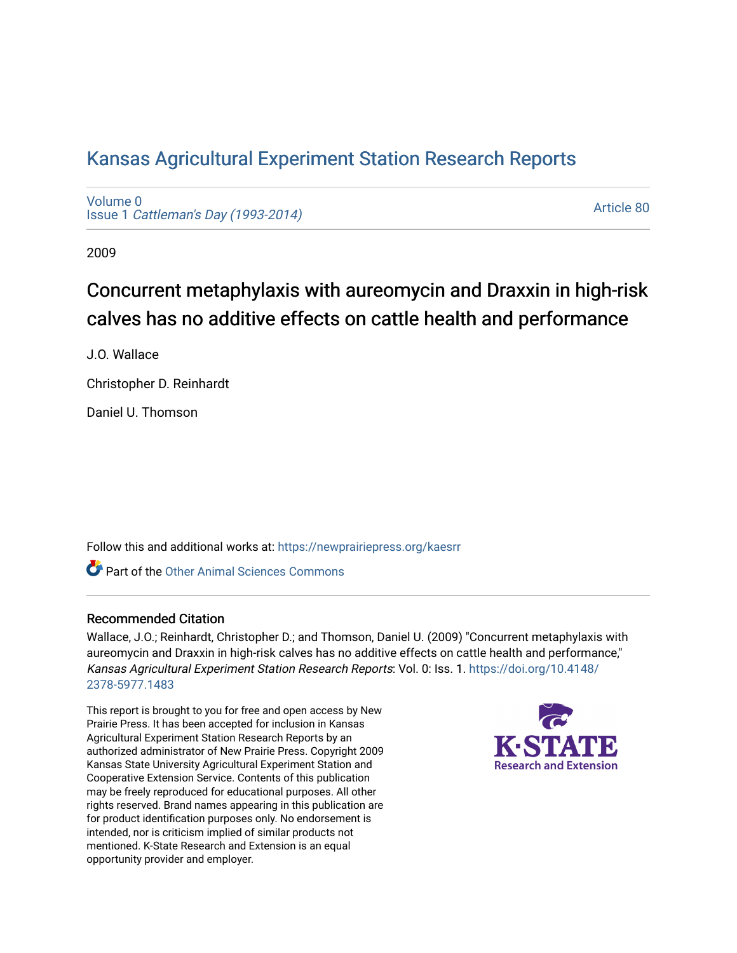# [Kansas Agricultural Experiment Station Research Reports](https://newprairiepress.org/kaesrr)

[Volume 0](https://newprairiepress.org/kaesrr/vol0) Issue 1 [Cattleman's Day \(1993-2014\)](https://newprairiepress.org/kaesrr/vol0/iss1) 

[Article 80](https://newprairiepress.org/kaesrr/vol0/iss1/80) 

2009

# Concurrent metaphylaxis with aureomycin and Draxxin in high-risk calves has no additive effects on cattle health and performance

J.O. Wallace

Christopher D. Reinhardt

Daniel U. Thomson

Follow this and additional works at: [https://newprairiepress.org/kaesrr](https://newprairiepress.org/kaesrr?utm_source=newprairiepress.org%2Fkaesrr%2Fvol0%2Fiss1%2F80&utm_medium=PDF&utm_campaign=PDFCoverPages) 

**C** Part of the [Other Animal Sciences Commons](http://network.bepress.com/hgg/discipline/82?utm_source=newprairiepress.org%2Fkaesrr%2Fvol0%2Fiss1%2F80&utm_medium=PDF&utm_campaign=PDFCoverPages)

#### Recommended Citation

Wallace, J.O.; Reinhardt, Christopher D.; and Thomson, Daniel U. (2009) "Concurrent metaphylaxis with aureomycin and Draxxin in high-risk calves has no additive effects on cattle health and performance," Kansas Agricultural Experiment Station Research Reports: Vol. 0: Iss. 1. [https://doi.org/10.4148/](https://doi.org/10.4148/2378-5977.1483) [2378-5977.1483](https://doi.org/10.4148/2378-5977.1483) 

This report is brought to you for free and open access by New Prairie Press. It has been accepted for inclusion in Kansas Agricultural Experiment Station Research Reports by an authorized administrator of New Prairie Press. Copyright 2009 Kansas State University Agricultural Experiment Station and Cooperative Extension Service. Contents of this publication may be freely reproduced for educational purposes. All other rights reserved. Brand names appearing in this publication are for product identification purposes only. No endorsement is intended, nor is criticism implied of similar products not mentioned. K-State Research and Extension is an equal opportunity provider and employer.

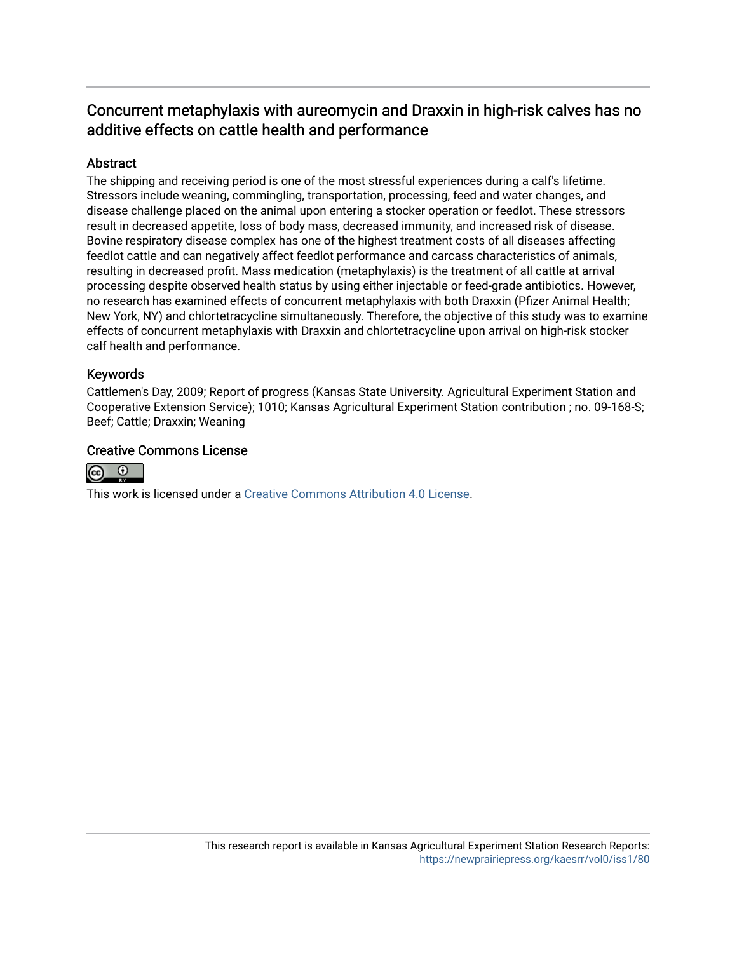## Concurrent metaphylaxis with aureomycin and Draxxin in high-risk calves has no additive effects on cattle health and performance

### **Abstract**

The shipping and receiving period is one of the most stressful experiences during a calf's lifetime. Stressors include weaning, commingling, transportation, processing, feed and water changes, and disease challenge placed on the animal upon entering a stocker operation or feedlot. These stressors result in decreased appetite, loss of body mass, decreased immunity, and increased risk of disease. Bovine respiratory disease complex has one of the highest treatment costs of all diseases affecting feedlot cattle and can negatively affect feedlot performance and carcass characteristics of animals, resulting in decreased profit. Mass medication (metaphylaxis) is the treatment of all cattle at arrival processing despite observed health status by using either injectable or feed-grade antibiotics. However, no research has examined effects of concurrent metaphylaxis with both Draxxin (Pfizer Animal Health; New York, NY) and chlortetracycline simultaneously. Therefore, the objective of this study was to examine effects of concurrent metaphylaxis with Draxxin and chlortetracycline upon arrival on high-risk stocker calf health and performance.

### Keywords

Cattlemen's Day, 2009; Report of progress (Kansas State University. Agricultural Experiment Station and Cooperative Extension Service); 1010; Kansas Agricultural Experiment Station contribution ; no. 09-168-S; Beef; Cattle; Draxxin; Weaning

### Creative Commons License



This work is licensed under a [Creative Commons Attribution 4.0 License](https://creativecommons.org/licenses/by/4.0/).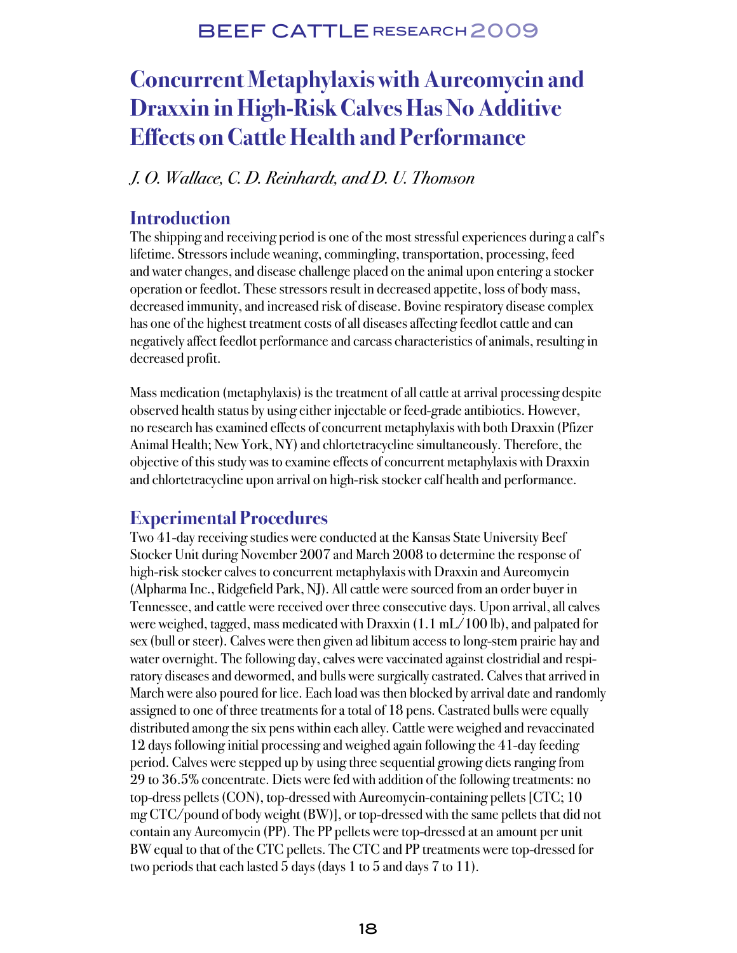## BEEF CATTLE RESEARCH 2009

# **Concurrent Metaphylaxis with Aureomycin and Draxxin in High-Risk Calves Has No Additive Effects on Cattle Health and Performance**

### J. O. Wallace, C. D. Reinhardt, and D. U. Thomson

### **Introduction**

The shipping and receiving period is one of the most stressful experiences during a calf's lifetime. Stressors include weaning, commingling, transportation, processing, feed and water changes, and disease challenge placed on the animal upon entering a stocker operation or feedlot. These stressors result in decreased appetite, loss of body mass, decreased immunity, and increased risk of disease. Bovine respiratory disease complex has one of the highest treatment costs of all diseases affecting feedlot cattle and can negatively affect feedlot performance and carcass characteristics of animals, resulting in decreased profit.

Mass medication (metaphylaxis) is the treatment of all cattle at arrival processing despite observed health status by using either injectable or feed-grade antibiotics. However, no research has examined effects of concurrent metaphylaxis with both Draxxin (Pfizer Animal Health; New York, NY) and chlortetracycline simultaneously. Therefore, the objective of this study was to examine effects of concurrent metaphylaxis with Draxxin and chlortetracycline upon arrival on high-risk stocker calf health and performance.

## **Experimental Procedures**

Two 41-day receiving studies were conducted at the Kansas State University Beef Stocker Unit during November 2007 and March 2008 to determine the response of high-risk stocker calves to concurrent metaphylaxis with Draxxin and Aureomycin (Alpharma Inc., Ridgefield Park, NJ). All cattle were sourced from an order buyer in Tennessee, and cattle were received over three consecutive days. Upon arrival, all calves were weighed, tagged, mass medicated with Draxxin (1.1 mL/100 lb), and palpated for sex (bull or steer). Calves were then given ad libitum access to long-stem prairie hay and water overnight. The following day, calves were vaccinated against clostridial and respiratory diseases and dewormed, and bulls were surgically castrated. Calves that arrived in March were also poured for lice. Each load was then blocked by arrival date and randomly assigned to one of three treatments for a total of 18 pens. Castrated bulls were equally distributed among the six pens within each alley. Cattle were weighed and revaccinated 12 days following initial processing and weighed again following the 41-day feeding period. Calves were stepped up by using three sequential growing diets ranging from 29 to 36.5% concentrate. Diets were fed with addition of the following treatments: no top-dress pellets (CON), top-dressed with Aureomycin-containing pellets [CTC; 10 mg CTC/pound of body weight (BW)], or top-dressed with the same pellets that did not contain any Aureomycin (PP). The PP pellets were top-dressed at an amount per unit BW equal to that of the CTC pellets. The CTC and PP treatments were top-dressed for two periods that each lasted 5 days (days 1 to 5 and days 7 to 11).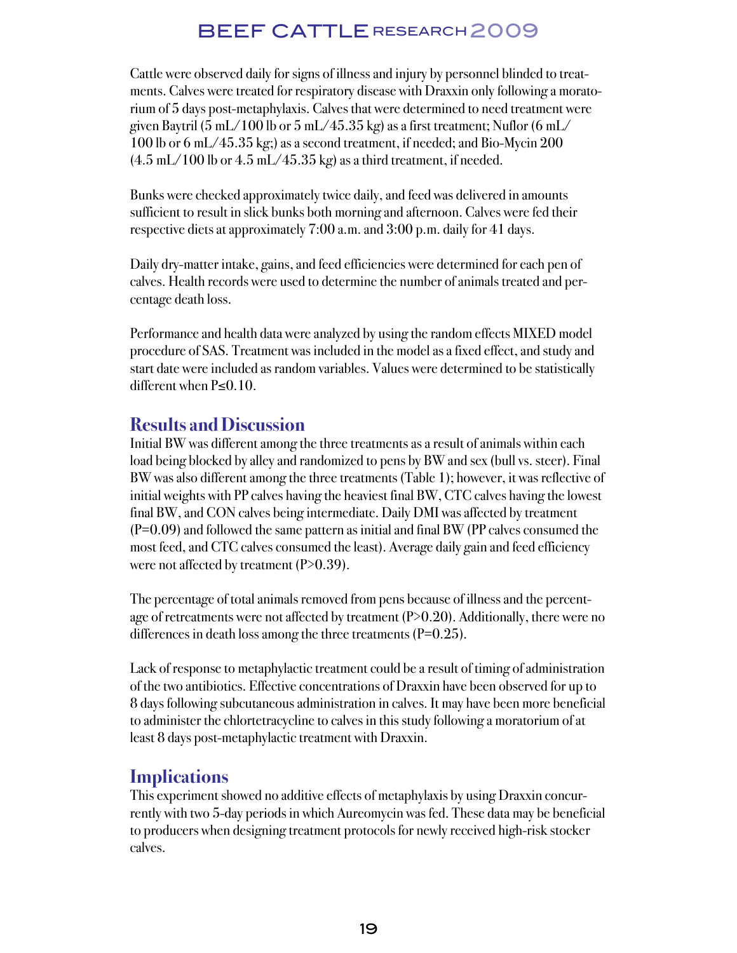# BEEF CATTLE RESEARCH 2009

Cattle were observed daily for signs of illness and injury by personnel blinded to treatments. Calves were treated for respiratory disease with Draxxin only following a moratorium of 5 days post-metaphylaxis. Calves that were determined to need treatment were given Baytril (5 mL/100 lb or 5 mL/45.35 kg) as a first treatment; Nuflor (6 mL/ 100 lb or 6 mL/45.35 kg;) as a second treatment, if needed; and Bio-Mycin 200  $(4.5 \text{ mL} / 100 \text{ lb or } 4.5 \text{ mL} / 45.35 \text{ kg})$  as a third treatment, if needed.

Bunks were checked approximately twice daily, and feed was delivered in amounts sufficient to result in slick bunks both morning and afternoon. Calves were fed their respective diets at approximately 7:00 a.m. and 3:00 p.m. daily for 41 days.

Daily dry-matter intake, gains, and feed efficiencies were determined for each pen of calves. Health records were used to determine the number of animals treated and percentage death loss.

Performance and health data were analyzed by using the random effects MIXED model procedure of SAS. Treatment was included in the model as a fixed effect, and study and start date were included as random variables. Values were determined to be statistically different when P≤0.10.

### **Results and Discussion**

Initial BW was different among the three treatments as a result of animals within each load being blocked by alley and randomized to pens by BW and sex (bull vs. steer). Final BW was also different among the three treatments (Table 1); however, it was reflective of initial weights with PP calves having the heaviest final BW, CTC calves having the lowest final BW, and CON calves being intermediate. Daily DMI was affected by treatment  $(P=0.09)$  and followed the same pattern as initial and final BW (PP calves consumed the most feed, and CTC calves consumed the least). Average daily gain and feed efficiency were not affected by treatment  $(P>0.39)$ .

The percentage of total animals removed from pens because of illness and the percentage of retreatments were not affected by treatment  $(P>0.20)$ . Additionally, there were no differences in death loss among the three treatments  $(P=0.25)$ .

Lack of response to metaphylactic treatment could be a result of timing of administration of the two antibiotics. Effective concentrations of Draxxin have been observed for up to 8 days following subcutaneous administration in calves. It may have been more beneficial to administer the chlortetracycline to calves in this study following a moratorium of at least 8 days post-metaphylactic treatment with Draxxin.

## **Implications**

This experiment showed no additive effects of metaphylaxis by using Draxxin concurrently with two 5-day periods in which Aureomycin was fed. These data may be beneficial to producers when designing treatment protocols for newly received high-risk stocker calves.